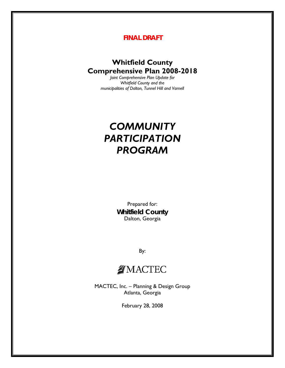## *FINAL DRAFT*

## **Whitfield County Comprehensive Plan 2008-2018**

*Joint Comprehensive Plan Update for Whitfield County and the municipalities of Dalton, Tunnel Hill and Varnell* 

## *COMMUNITY PARTICIPATION PROGRAM*

Prepared for: **Whitfield County**  Dalton, Georgia

By:

## **MACTEC**

MACTEC, Inc. – Planning & Design Group Atlanta, Georgia

February 28, 2008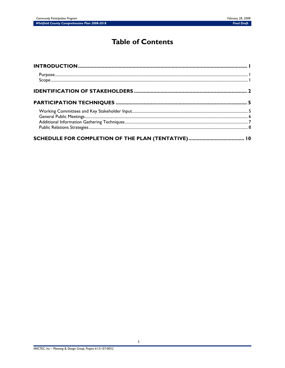## **Table of Contents**

| $\small \centering \label{prop:main} \textbf{Purpose} \tiny \color{red} \textbf{num} \color{black} \textbf{num} \color{black} \textbf{num} \color{black} \textbf{num} \color{black} \textbf{num} \color{black} \textbf{num} \color{black} \textbf{num} \color{black} \textbf{num} \color{black} \textbf{num} \color{black} \textbf{num} \color{black} \textbf{num} \color{black} \textbf{num} \color{black} \textbf{num} \color{black} \textbf{num} \color{black} \textbf{num} \color{black} \textbf{num} \color{black} \textbf{num} \color{black} \textbf{num} \$ |  |
|--------------------------------------------------------------------------------------------------------------------------------------------------------------------------------------------------------------------------------------------------------------------------------------------------------------------------------------------------------------------------------------------------------------------------------------------------------------------------------------------------------------------------------------------------------------------|--|
|                                                                                                                                                                                                                                                                                                                                                                                                                                                                                                                                                                    |  |
|                                                                                                                                                                                                                                                                                                                                                                                                                                                                                                                                                                    |  |
|                                                                                                                                                                                                                                                                                                                                                                                                                                                                                                                                                                    |  |
|                                                                                                                                                                                                                                                                                                                                                                                                                                                                                                                                                                    |  |
|                                                                                                                                                                                                                                                                                                                                                                                                                                                                                                                                                                    |  |
|                                                                                                                                                                                                                                                                                                                                                                                                                                                                                                                                                                    |  |
|                                                                                                                                                                                                                                                                                                                                                                                                                                                                                                                                                                    |  |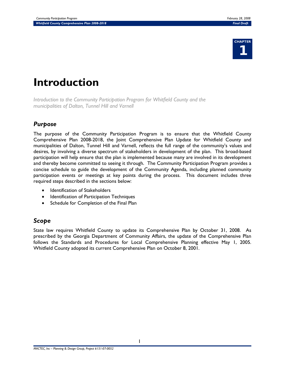

# **Introduction**

*Introduction to the Community Participation Program for Whitfield County and the municipalities of Dalton, Tunnel Hill and Varnell* 

## *Purpose*

The purpose of the Community Participation Program is to ensure that the Whitfield County Comprehensive Plan 2008-2018, the Joint Comprehensive Plan Update for Whitfield County and municipalities of Dalton, Tunnel Hill and Varnell, reflects the full range of the community's values and desires, by involving a diverse spectrum of stakeholders in development of the plan. This broad-based participation will help ensure that the plan is implemented because many are involved in its development and thereby become committed to seeing it through. The Community Participation Program provides a concise schedule to guide the development of the Community Agenda, including planned community participation events or meetings at key points during the process. This document includes three required steps described in the sections below:

- Identification of Stakeholders
- **Identification of Participation Techniques**
- Schedule for Completion of the Final Plan

## *Scope*

State law requires Whitfield County to update its Comprehensive Plan by October 31, 2008. As prescribed by the Georgia Department of Community Affairs, the update of the Comprehensive Plan follows the Standards and Procedures for Local Comprehensive Planning effective May 1, 2005. Whitfield County adopted its current Comprehensive Plan on October 8, 2001.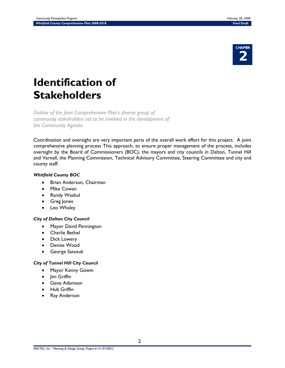

# **Identification of Stakeholders**

*Outline of the Joint Comprehensive Plan's diverse group of community stakeholders set to be involved in the development of the Community Agenda* 

Coordination and oversight are very important parts of the overall work effort for this project. A joint comprehensive planning process This approach, to ensure proper management of the process, includes oversight by the Board of Commissioners (BOC), the mayors and city councils in Dalton, Tunnel Hill and Varnell, the Planning Commission, Technical Advisory Committee, Steering Committee and city and county staff.

#### *Whitfield County BOC*

- Brian Anderson, Chairman
- **Mike Cowan**
- Randy Waskul
- Greg Jones
- Leo Whaley

#### *City of Dalton City Council*

- Mayor David Pennington
- Charlie Bethel
- Dick Lowery
- Denise Wood
- George Satosuk

#### *City of Tunnel Hill City Council*

- Mayor Kenny Gowin
- Jim Griffin
- Gene Adamson
- Hub Griffin
- Ray Anderson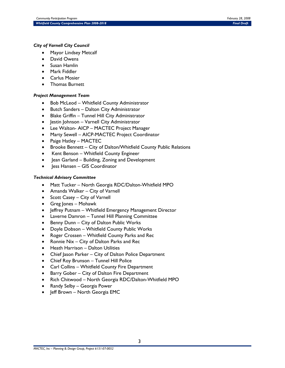#### *City of Varnell City Council*

- Mayor Lindsey Metcalf
- David Owens
- Susan Hamlin
- Mark Fiddler
- Carlus Mosier
- Thomas Burnett

#### *Project Management Team*

- Bob McLeod Whitfield County Administrator
- Butch Sanders Dalton City Administrator
- Blake Griffin Tunnel Hill City Administrator
- Jestin Johnson Varnell City Administrator
- Lee Walton- AICP MACTEC Project Manager
- Marty Sewell AICP-MACTEC Project Coordinator
- Paige Hatley MACTEC
- Brooke Bennett City of Dalton/Whitfield County Public Relations
- Kent Benson Whitfield County Engineer
- Jean Garland Building, Zoning and Development
- Jess Hansen GIS Coordinator

#### *Technical Advisory Committee*

- Matt Tucker North Georgia RDC/Dalton-Whitfield MPO
- Amanda Walker City of Varnell
- Scott Casey City of Varnell
- Greg Jones Mohawk
- Jeffrey Putnam Whitfield Emergency Management Director
- Laverne Damron Tunnel Hill Planning Committee
- Benny Dunn City of Dalton Public Works
- Doyle Dobson Whitfield County Public Works
- Roger Crossen Whitfield County Parks and Rec
- Ronnie Nix City of Dalton Parks and Rec
- Heath Harrison Dalton Utilities
- Chief Jason Parker City of Dalton Police Department
- Chief Roy Brunson Tunnel Hill Police
- Carl Collins Whitfield County Fire Department
- Barry Gober City of Dalton Fire Department
- Rich Chitwood North Georgia RDC/Dalton-Whitfield MPO
- Randy Selby Georgia Power
- Jeff Brown North Georgia EMC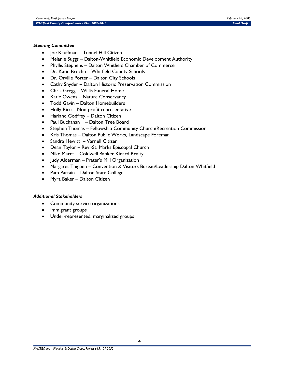#### *Steering Committee*

- Joe Kauffman Tunnel Hill Citizen
- Melanie Suggs Dalton-Whitfield Economic Development Authority
- Phyllis Stephens Dalton Whitfield Chamber of Commerce
- Dr. Katie Brochu Whitfield County Schools
- Dr. Orville Porter Dalton City Schools
- Cathy Snyder Dalton Historic Preservation Commission
- Chris Gregg Willis Funeral Home
- Katie Owens Nature Conservancy
- Todd Gavin Dalton Homebuilders
- Holly Rice Non-profit representative
- Harland Godfrey Dalton Citizen
- Paul Buchanan Dalton Tree Board
- Stephen Thomas Fellowship Community Church/Recreation Commission
- Kris Thomas Dalton Public Works, Landscape Foreman
- Sandra Hewitt Varnell Citizen
- Dean Taylor Rev.-St. Marks Episcopal Church
- Mike Maret Coldwell Banker Kinard Realty
- Judy Alderman Prater's Mill Organization
- Margaret Thigpen Convention & Visitors Bureau/Leadership Dalton Whitfield
- Pam Partain Dalton State College
- Myra Baker Dalton Citizen

#### *Additional Stakeholders*

- Community service organizations
- Immigrant groups
- Under-represented, marginalized groups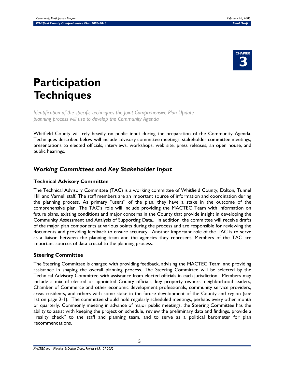

# **Participation Techniques**

*Identification of the specific techniques the Joint Comprehensive Plan Update planning process will use to develop the Community Agenda* 

Whitfield County will rely heavily on public input during the preparation of the Community Agenda. Techniques described below will include advisory committee meetings, stakeholder committee meetings, presentations to elected officials, interviews, workshops, web site, press releases, an open house, and public hearings.

## *Working Committees and Key Stakeholder Input*

### **Technical Advisory Committee**

The Technical Advisory Committee (TAC) is a working committee of Whitfield County, Dalton, Tunnel Hill and Varnell staff. The staff members are an important source of information and coordination during the planning process. As primary "users" of the plan, they have a stake in the outcome of the comprehensive plan. The TAC's role will include providing the MACTEC Team with information on future plans, existing conditions and major concerns in the County that provide insight in developing the Community Assessment and Analysis of Supporting Data.. In addition, the committee will receive drafts of the major plan components at various points during the process and are responsible for reviewing the documents and providing feedback to ensure accuracy. Another important role of the TAC is to serve as a liaison between the planning team and the agencies they represent. Members of the TAC are important sources of data crucial to the planning process.

### **Steering Committee**

The Steering Committee is charged with providing feedback, advising the MACTEC Team, and providing assistance in shaping the overall planning process. The Steering Committee will be selected by the Technical Advisory Committee with assistance from elected officials in each jurisdiction. Members may include a mix of elected or appointed County officials, key property owners, neighborhood leaders, Chamber of Commerce and other economic development professionals, community service providers, areas residents, and others with some stake in the future development of the County and region (see list on page 2-1). The committee should hold regularly scheduled meetings, perhaps every other month or quarterly. Commonly meeting in advance of major public meetings, the Steering Committee has the ability to assist with keeping the project on schedule, review the preliminary data and findings, provide a "reality check" to the staff and planning team, and to serve as a political barometer for plan recommendations.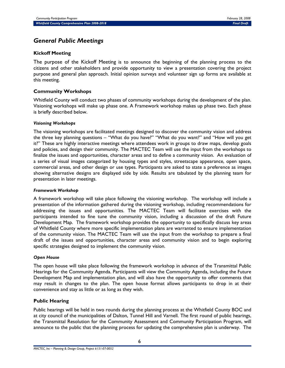## *General Public Meetings*

#### **Kickoff Meeting**

The purpose of the Kickoff Meeting is to announce the beginning of the planning process to the citizens and other stakeholders and provide opportunity to view a presentation covering the project purpose and general plan approach. Initial opinion surveys and volunteer sign up forms are available at this meeting.

#### **Community Workshops**

Whitfield County will conduct two phases of community workshops during the development of the plan. Visioning workshops will make up phase one. A Framework workshop makes up phase two. Each phase is briefly described below.

#### *Visioning Workshops*

The visioning workshops are facilitated meetings designed to discover the community vision and address the three key planning questions – "What do you have?" "What do you want?" and "How will you get it?" These are highly interactive meetings where attendees work in groups to draw maps, develop goals and policies, and design their community. The MACTEC Team will use the input from the workshops to finalize the issues and opportunities, character areas and to define a community vision. An evaluation of a series of visual images categorized by housing types and styles, streetscape appearance, open space, commercial areas, and other design or use types. Participants are asked to state a preference as images showing alternative designs are displayed side by side. Results are tabulated by the planning team for presentation in later meetings.

#### *Framework Workshop*

A framework workshop will take place following the visioning workshop. The workshop will include a presentation of the information gathered during the visioning workshop, including recommendations for addressing the issues and opportunities. The MACTEC Team will facilitate exercises with the participants intended to fine tune the community vision, including a discussion of the draft Future Development Map. The framework workshop provides the opportunity to specifically discuss key areas of Whitfield County where more specific implementation plans are warranted to ensure implementation of the community vision. The MACTEC Team will use the input from the workshop to prepare a final draft of the issues and opportunities, character areas and community vision and to begin exploring specific strategies designed to implement the community vision.

#### *Open House*

The open house will take place following the framework workshop in advance of the Transmittal Public Hearings for the Community Agenda. Participants will view the Community Agenda, including the Future Development Map and implementation plan, and will also have the opportunity to offer comments that may result in changes to the plan. The open house format allows participants to drop in at their convenience and stay as little or as long as they wish.

#### **Public Hearing**

Public hearings will be held in two rounds during the planning process at the Whitfield County BOC and at city council of the municipalities of Dalton, Tunnel Hill and Varnell. The first round of public hearings, the Transmittal Resolution for the Community Assessment and Community Participation Program, will announce to the public that the planning process for updating the comprehensive plan is underway. The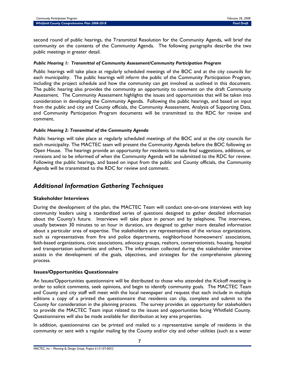second round of public hearings, the Transmittal Resolution for the Community Agenda, will brief the community on the contents of the Community Agenda. The following paragraphs describe the two public meetings in greater detail.

#### *Public Hearing 1: Transmittal of Community Assessment/Community Participation Program*

Public hearings will take place at regularly scheduled meetings of the BOC and at the city councils for each municipality. The public hearings will inform the public of the Community Participation Program, including the project schedule and how the community can get involved as outlined in this document. The public hearing also provides the community an opportunity to comment on the draft Community Assessment. The Community Assessment highlights the issues and opportunities that will be taken into consideration in developing the Community Agenda. Following the public hearings, and based on input from the public and city and County officials, the Community Assessment, Analysis of Supporting Data, and Community Participation Program documents will be transmitted to the RDC for review and comment.

#### *Public Hearing 2: Transmittal of the Community Agenda*

Public hearings will take place at regularly scheduled meetings of the BOC and at the city councils for each municipality. The MACTEC team will present the Community Agenda before the BOC following an Open House. The hearings provide an opportunity for residents to make final suggestions, additions, or revisions and to be informed of when the Community Agenda will be submitted to the RDC for review. Following the public hearings, and based on input from the public and County officials, the Community Agenda will be transmitted to the RDC for review and comment.

## *Additional Information Gathering Techniques*

#### **Stakeholder Interviews**

During the development of the plan, the MACTEC Team will conduct one-on-one interviews with key community leaders using a standardized series of questions designed to gather detailed information about the County's future. Interviews will take place in person and by telephone. The interviews, usually between 30 minutes to an hour in duration, are designed to gather more detailed information about a particular area of expertise. The stakeholders are representatives of the various organizations, such as representatives from fire and police departments, neighborhood homeowners' associations, faith-based organizations, civic associations, advocacy groups, realtors, conservationists, housing, hospital and transportation authorities and others. The information collected during the stakeholder interview assists in the development of the goals, objectives, and strategies for the comprehensive planning process.

#### **Issues/Opportunities Questionnaire**

An Issues/Opportunities questionnaire will be distributed to those who attended the Kickoff meeting in order to solicit comments, seek opinions, and begin to identify community goals. The MACTEC Team and County and city staff will meet with the local newspaper and request that each include in multiple editions a copy of a printed the questionnaire that residents can clip, complete and submit to the County for consideration in the planning process. The survey provides an opportunity for stakeholders to provide the MACTEC Team input related to the issues and opportunities facing Whitfield County. Questionnaires will also be made available for distribution at key area properties.

In addition, questionnaires can be printed and mailed to a representative sample of residents in the community or sent with a regular mailing by the County and/or city and other utilities (such as a water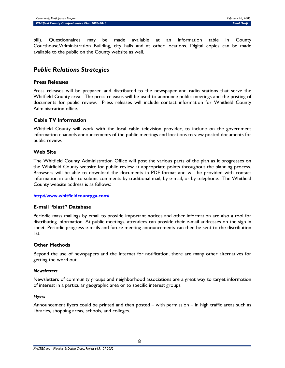bill). Questionnaires may be made available at an information table in County Courthouse/Administration Building, city halls and at other locations. Digital copies can be made available to the public on the County website as well.

## *Public Relations Strategies*

#### **Press Releases**

Press releases will be prepared and distributed to the newspaper and radio stations that serve the Whitfield County area. The press releases will be used to announce public meetings and the posting of documents for public review. Press releases will include contact information for Whitfield County Administration office.

#### **Cable TV Information**

Whitfield County will work with the local cable television provider, to include on the government information channels announcements of the public meetings and locations to view posted documents for public review.

#### **Web Site**

The Whitfield County Administration Office will post the various parts of the plan as it progresses on the Whitfield County website for public review at appropriate points throughout the planning process. Browsers will be able to download the documents in PDF format and will be provided with contact information in order to submit comments by traditional mail, by e-mail, or by telephone. The Whitfield County website address is as follows:

#### **http://www.whitfieldcountyga.com/**

#### **E-mail "blast" Database**

Periodic mass mailings by email to provide important notices and other information are also a tool for distributing information. At public meetings, attendees can provide their e-mail addresses on the sign in sheet. Periodic progress e-mails and future meeting announcements can then be sent to the distribution list.

#### **Other Methods**

Beyond the use of newspapers and the Internet for notification, there are many other alternatives for getting the word out.

#### *Newsletters*

Newsletters of community groups and neighborhood associations are a great way to target information of interest in a particular geographic area or to specific interest groups.

#### *Flyers*

Announcement flyers could be printed and then posted – with permission – in high traffic areas such as libraries, shopping areas, schools, and colleges.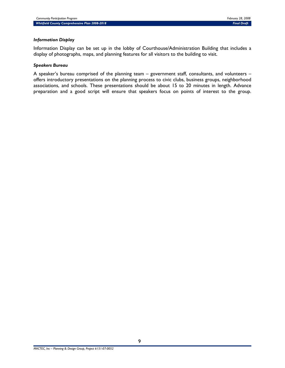#### *Information Display*

Information Display can be set up in the lobby of Courthouse/Administration Building that includes a display of photographs, maps, and planning features for all visitors to the building to visit.

#### *Speakers Bureau*

A speaker's bureau comprised of the planning team – government staff, consultants, and volunteers – offers introductory presentations on the planning process to civic clubs, business groups, neighborhood associations, and schools. These presentations should be about 15 to 20 minutes in length. Advance preparation and a good script will ensure that speakers focus on points of interest to the group.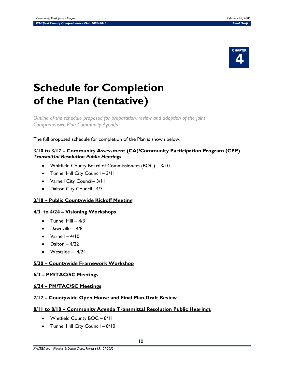

# **Schedule for Completion of the Plan (tentative)**

*Outline of the schedule proposed for preparation, review and adoption of the Joint Comprehensive Plan Community Agenda* 

The full proposed schedule for completion of the Plan is shown below.

#### **3/10 to 3/17 – Community Assessment (CA)/Community Participation Program (CPP)** *Transmittal Resolution Public Hearings*

- Whitfield County Board of Commissioners (BOC) 3/10
- Tunnel Hill City Council 3/11
- Varnell City Council– 3/11
- Dalton City Council-4/7

### **3/18 – Public Countywide Kickoff Meeting**

#### **4/3 to 4/24 – Visioning Workshops**

- $\bullet$  Tunnel Hill  $-4/3$
- $\bullet$  Dawnville 4/8
- $\bullet$  Varnell 4/10
- Dalton  $-4/22$
- $\bullet$  Westside  $4/24$

#### **5/20 – Countywide Framework Workshop**

#### **6/3 – PM/TAC/SC Meetings**

#### **6/24 – PM/TAC/SC Meetings**

#### **7/17 – Countywide Open House and Final Plan Draft Review**

#### **8/11 to 8/18 – Community Agenda Transmittal Resolution Public Hearings**

- Whitfield County BOC 8/11
- Tunnel Hill City Council 8/10